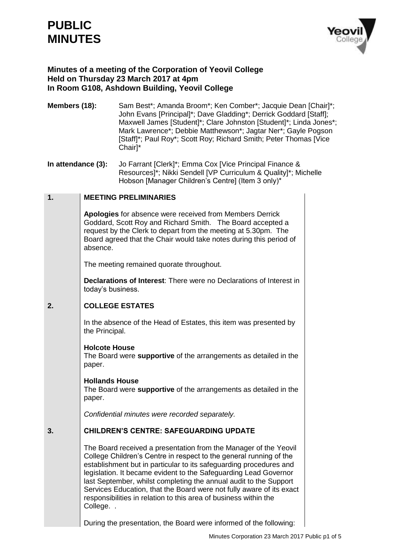# **PUBLIC MINUTES**



## **Minutes of a meeting of the Corporation of Yeovil College Held on Thursday 23 March 2017 at 4pm In Room G108, Ashdown Building, Yeovil College**

- **Members (18):** Sam Best<sup>\*</sup>; Amanda Broom<sup>\*</sup>; Ken Comber<sup>\*</sup>; Jacquie Dean [Chair]<sup>\*</sup>; John Evans [Principal]\*; Dave Gladding\*; Derrick Goddard [Staff]; Maxwell James [Student]\*; Clare Johnston [Student]\*; Linda Jones\*; Mark Lawrence\*; Debbie Matthewson\*; Jagtar Ner\*; Gayle Pogson [Staff]\*; Paul Roy\*; Scott Roy; Richard Smith; Peter Thomas [Vice] Chair]\*
- **In attendance (3):** Jo Farrant [Clerk]\*; Emma Cox [Vice Principal Finance & Resources]\*; Nikki Sendell [VP Curriculum & Quality]\*; Michelle Hobson [Manager Children's Centre] (Item 3 only)\*

#### **1. MEETING PRELIMINARIES**

**Apologies** for absence were received from Members Derrick Goddard, Scott Roy and Richard Smith. The Board accepted a request by the Clerk to depart from the meeting at 5.30pm. The Board agreed that the Chair would take notes during this period of absence.

The meeting remained quorate throughout.

**Declarations of Interest**: There were no Declarations of Interest in today's business.

#### **2. COLLEGE ESTATES**

In the absence of the Head of Estates, this item was presented by the Principal.

### **Holcote House**

The Board were **supportive** of the arrangements as detailed in the paper.

**Hollands House** The Board were **supportive** of the arrangements as detailed in the paper.

*Confidential minutes were recorded separately.*

#### **3. CHILDREN'S CENTRE: SAFEGUARDING UPDATE**

The Board received a presentation from the Manager of the Yeovil College Children's Centre in respect to the general running of the establishment but in particular to its safeguarding procedures and legislation. It became evident to the Safeguarding Lead Governor last September, whilst completing the annual audit to the Support Services Education, that the Board were not fully aware of its exact responsibilities in relation to this area of business within the College. .

During the presentation, the Board were informed of the following: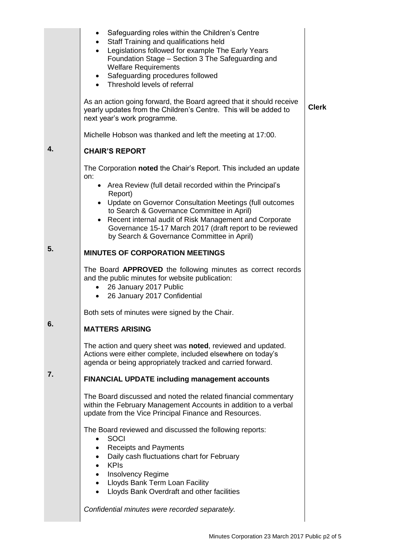|    | Safeguarding roles within the Children's Centre<br>$\bullet$<br>Staff Training and qualifications held<br>$\bullet$<br>Legislations followed for example The Early Years<br>$\bullet$<br>Foundation Stage - Section 3 The Safeguarding and<br><b>Welfare Requirements</b><br>Safeguarding procedures followed<br>$\bullet$<br>• Threshold levels of referral |              |
|----|--------------------------------------------------------------------------------------------------------------------------------------------------------------------------------------------------------------------------------------------------------------------------------------------------------------------------------------------------------------|--------------|
|    | As an action going forward, the Board agreed that it should receive<br>yearly updates from the Children's Centre. This will be added to<br>next year's work programme.                                                                                                                                                                                       | <b>Clerk</b> |
|    | Michelle Hobson was thanked and left the meeting at 17:00.                                                                                                                                                                                                                                                                                                   |              |
| 4. | <b>CHAIR'S REPORT</b>                                                                                                                                                                                                                                                                                                                                        |              |
|    | The Corporation noted the Chair's Report. This included an update<br>on:<br>• Area Review (full detail recorded within the Principal's                                                                                                                                                                                                                       |              |
|    | Report)<br>• Update on Governor Consultation Meetings (full outcomes<br>to Search & Governance Committee in April)<br>Recent internal audit of Risk Management and Corporate<br>$\bullet$<br>Governance 15-17 March 2017 (draft report to be reviewed<br>by Search & Governance Committee in April)                                                          |              |
| 5. | <b>MINUTES OF CORPORATION MEETINGS</b>                                                                                                                                                                                                                                                                                                                       |              |
|    | The Board APPROVED the following minutes as correct records<br>and the public minutes for website publication:<br>26 January 2017 Public<br>$\bullet$<br>26 January 2017 Confidential<br>$\bullet$                                                                                                                                                           |              |
|    | Both sets of minutes were signed by the Chair.                                                                                                                                                                                                                                                                                                               |              |
| υ. | <b>MATTERS ARISING</b>                                                                                                                                                                                                                                                                                                                                       |              |
|    | The action and query sheet was noted, reviewed and updated.<br>Actions were either complete, included elsewhere on today's<br>agenda or being appropriately tracked and carried forward.                                                                                                                                                                     |              |
| 7. | <b>FINANCIAL UPDATE including management accounts</b>                                                                                                                                                                                                                                                                                                        |              |
|    | The Board discussed and noted the related financial commentary<br>within the February Management Accounts in addition to a verbal<br>update from the Vice Principal Finance and Resources.                                                                                                                                                                   |              |
|    | The Board reviewed and discussed the following reports:<br><b>SOCI</b><br>$\bullet$<br><b>Receipts and Payments</b><br>Daily cash fluctuations chart for February<br><b>KPIs</b><br>$\bullet$<br><b>Insolvency Regime</b><br>$\bullet$<br>• Lloyds Bank Term Loan Facility<br>Lloyds Bank Overdraft and other facilities                                     |              |
|    | Confidential minutes were recorded separately.                                                                                                                                                                                                                                                                                                               |              |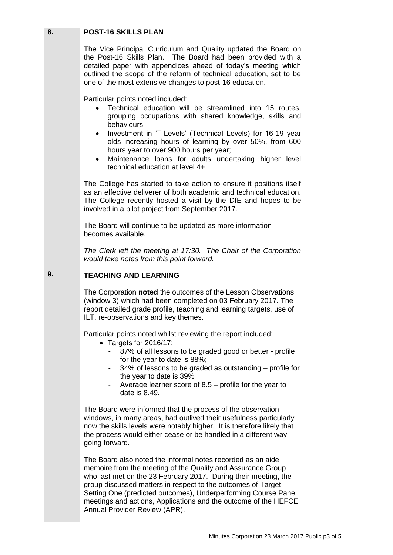| 8. | <b>POST-16 SKILLS PLAN</b>                                                                                                                                                                                                                                                                                                                                                                                                           |  |
|----|--------------------------------------------------------------------------------------------------------------------------------------------------------------------------------------------------------------------------------------------------------------------------------------------------------------------------------------------------------------------------------------------------------------------------------------|--|
|    | The Vice Principal Curriculum and Quality updated the Board on<br>the Post-16 Skills Plan. The Board had been provided with a<br>detailed paper with appendices ahead of today's meeting which<br>outlined the scope of the reform of technical education, set to be<br>one of the most extensive changes to post-16 education.                                                                                                      |  |
|    | Particular points noted included:<br>Technical education will be streamlined into 15 routes,<br>grouping occupations with shared knowledge, skills and<br>behaviours;<br>Investment in 'T-Levels' (Technical Levels) for 16-19 year<br>olds increasing hours of learning by over 50%, from 600<br>hours year to over 900 hours per year;<br>Maintenance loans for adults undertaking higher level<br>technical education at level 4+ |  |
|    | The College has started to take action to ensure it positions itself<br>as an effective deliverer of both academic and technical education.<br>The College recently hosted a visit by the DfE and hopes to be<br>involved in a pilot project from September 2017.                                                                                                                                                                    |  |
|    | The Board will continue to be updated as more information<br>becomes available.                                                                                                                                                                                                                                                                                                                                                      |  |
|    | The Clerk left the meeting at 17:30. The Chair of the Corporation<br>would take notes from this point forward.                                                                                                                                                                                                                                                                                                                       |  |
| 9. | <b>TEACHING AND LEARNING</b>                                                                                                                                                                                                                                                                                                                                                                                                         |  |
|    | The Corporation noted the outcomes of the Lesson Observations<br>(window 3) which had been completed on 03 February 2017. The<br>report detailed grade profile, teaching and learning targets, use of<br>ILT, re-observations and key themes.                                                                                                                                                                                        |  |
|    | Particular points noted whilst reviewing the report included:<br>• Targets for 2016/17:<br>87% of all lessons to be graded good or better - profile<br>for the year to date is 88%;<br>34% of lessons to be graded as outstanding – profile for<br>the year to date is 39%<br>Average learner score of $8.5$ – profile for the year to<br>date is $8.49$ .                                                                           |  |
|    | The Board were informed that the process of the observation<br>windows, in many areas, had outlived their usefulness particularly<br>now the skills levels were notably higher. It is therefore likely that<br>the process would either cease or be handled in a different way<br>going forward.                                                                                                                                     |  |
|    | The Board also noted the informal notes recorded as an aide<br>memoire from the meeting of the Quality and Assurance Group<br>who last met on the 23 February 2017. During their meeting, the<br>group discussed matters in respect to the outcomes of Target<br>Setting One (predicted outcomes), Underperforming Course Panel<br>meetings and actions, Applications and the outcome of the HEFCE<br>Annual Provider Review (APR).  |  |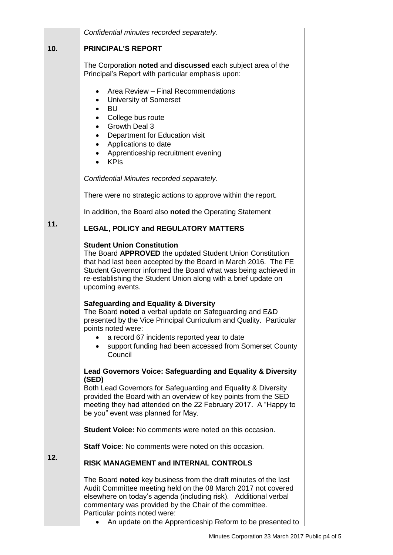|     | Confidential minutes recorded separately.                                                                                                                                                                                                                                                                                                                   |  |  |
|-----|-------------------------------------------------------------------------------------------------------------------------------------------------------------------------------------------------------------------------------------------------------------------------------------------------------------------------------------------------------------|--|--|
| 10. | <b>PRINCIPAL'S REPORT</b>                                                                                                                                                                                                                                                                                                                                   |  |  |
|     | The Corporation noted and discussed each subject area of the<br>Principal's Report with particular emphasis upon:                                                                                                                                                                                                                                           |  |  |
|     | Area Review - Final Recommendations<br>٠<br><b>University of Somerset</b><br><b>BU</b><br>$\bullet$<br>College bus route<br>Growth Deal 3<br>Department for Education visit<br>$\bullet$<br>Applications to date<br>$\bullet$<br>Apprenticeship recruitment evening<br><b>KPIs</b>                                                                          |  |  |
|     | Confidential Minutes recorded separately.                                                                                                                                                                                                                                                                                                                   |  |  |
|     | There were no strategic actions to approve within the report.                                                                                                                                                                                                                                                                                               |  |  |
|     | In addition, the Board also noted the Operating Statement                                                                                                                                                                                                                                                                                                   |  |  |
| 11. | <b>LEGAL, POLICY and REGULATORY MATTERS</b>                                                                                                                                                                                                                                                                                                                 |  |  |
|     | <b>Student Union Constitution</b><br>The Board APPROVED the updated Student Union Constitution<br>that had last been accepted by the Board in March 2016. The FE<br>Student Governor informed the Board what was being achieved in<br>re-establishing the Student Union along with a brief update on<br>upcoming events.                                    |  |  |
|     | <b>Safeguarding and Equality &amp; Diversity</b><br>The Board noted a verbal update on Safeguarding and E&D<br>presented by the Vice Principal Curriculum and Quality. Particular<br>points noted were:<br>a record 67 incidents reported year to date<br>support funding had been accessed from Somerset County<br>Council                                 |  |  |
|     | <b>Lead Governors Voice: Safeguarding and Equality &amp; Diversity</b>                                                                                                                                                                                                                                                                                      |  |  |
|     | (SED)<br>Both Lead Governors for Safeguarding and Equality & Diversity<br>provided the Board with an overview of key points from the SED<br>meeting they had attended on the 22 February 2017. A "Happy to<br>be you" event was planned for May.                                                                                                            |  |  |
|     | <b>Student Voice:</b> No comments were noted on this occasion.                                                                                                                                                                                                                                                                                              |  |  |
|     | <b>Staff Voice:</b> No comments were noted on this occasion.                                                                                                                                                                                                                                                                                                |  |  |
| 12. | <b>RISK MANAGEMENT and INTERNAL CONTROLS</b>                                                                                                                                                                                                                                                                                                                |  |  |
|     | The Board noted key business from the draft minutes of the last<br>Audit Committee meeting held on the 08 March 2017 not covered<br>elsewhere on today's agenda (including risk). Additional verbal<br>commentary was provided by the Chair of the committee.<br>Particular points noted were:<br>An update on the Apprenticeship Reform to be presented to |  |  |